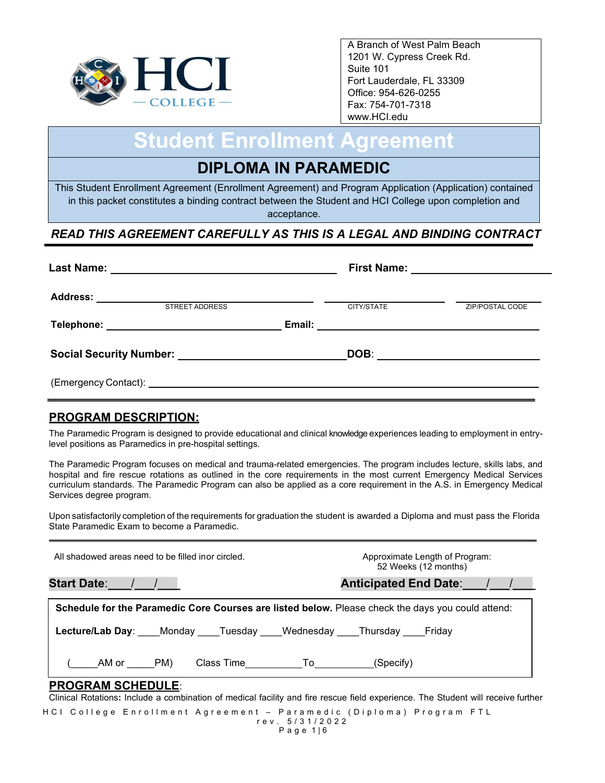

A Branch of West Palm Beach 1201 W. Cypress Creek Rd. Suite 101 Fort Lauderdale, FL 33309 Office: 954-626-0255 Fax: 754-701-7318 www.HCI.edu

# **Student Enrollment Agreement**

## **DIPLOMA IN PARAMEDIC**

This Student Enrollment Agreement (Enrollment Agreement) and Program Application (Application) contained in this packet constitutes a binding contract between the Student and HCI College upon completion and acceptance.

## *READ THIS AGREEMENT CAREFULLY AS THIS IS A LEGAL AND BINDING CONTRACT*

| <b>Last Name:</b>                                                       | First Name: _________________________ |  |
|-------------------------------------------------------------------------|---------------------------------------|--|
| <b>Address:</b><br><b>STREET ADDRESS</b>                                | CITY/STATE<br><b>ZIP/POSTAL CODE</b>  |  |
| Telephone: _____________________________                                |                                       |  |
| Social Security Number: Name of the Contract of Social Security Number: | DOB:                                  |  |
|                                                                         |                                       |  |

## **PROGRAM DESCRIPTION:**

The Paramedic Program is designed to provide educational and clinical knowledge experiences leading to employment in entrylevel positions as Paramedics in pre-hospital settings.

The Paramedic Program focuses on medical and trauma-related emergencies. The program includes lecture, skills labs, and hospital and fire rescue rotations as outlined in the core requirements in the most current Emergency Medical Services curriculum standards. The Paramedic Program can also be applied as a core requirement in the A.S. in Emergency Medical Services degree program.

Upon satisfactorily completion of the requirements for graduation the student is awarded a Diploma and must pass the Florida State Paramedic Exam to become a Paramedic.

| All shadowed areas need to be filled inor circled.                                                                                                           | Approximate Length of Program:<br>52 Weeks (12 months) |
|--------------------------------------------------------------------------------------------------------------------------------------------------------------|--------------------------------------------------------|
|                                                                                                                                                              | Anticipated End Date: 1. 1.                            |
| Schedule for the Paramedic Core Courses are listed below. Please check the days you could attend:                                                            |                                                        |
| Lecture/Lab Day: Monday Tuesday Wednesday Thursday Friday                                                                                                    |                                                        |
| _____AM or ______PM)                       Class Time___________To___________(Specify)                                                                       |                                                        |
| <b>PROGRAM SCHEDULE:</b><br>Clinical Rotations: Include a combination of medical facility and fire rescue field experience. The Student will receive further |                                                        |

HCI College Enrollment Agreement – Paramedic (Diploma) Program FTL rev. 5 / 3 1 /2022 Page 1|6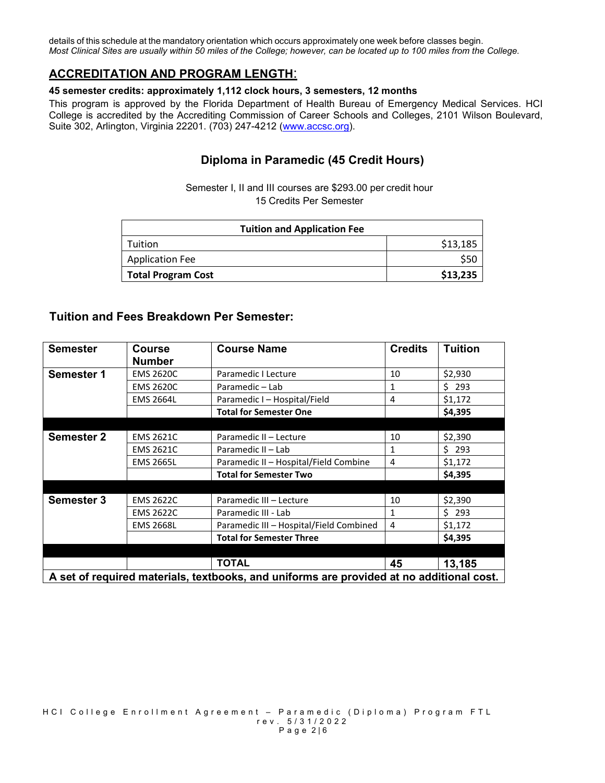details of this schedule at the mandatory orientation which occurs approximately one week before classes begin. *Most Clinical Sites are usually within 50 miles of the College; however, can be located up to 100 miles from the College.*

#### **ACCREDITATION AND PROGRAM LENGTH**:

#### **45 semester credits: approximately 1,112 clock hours, 3 semesters, 12 months**

This program is approved by the Florida Department of Health Bureau of Emergency Medical Services. HCI College is accredited by the Accrediting Commission of Career Schools and Colleges, 2101 Wilson Boulevard, Suite 302, Arlington, Virginia 22201. (703) 247-4212 [\(www.accsc.org\)](http://www.accsc.org/).

#### **Diploma in Paramedic (45 Credit Hours)**

Semester I, II and III courses are \$293.00 per credit hour 15 Credits Per Semester

| <b>Tuition and Application Fee</b> |          |  |  |
|------------------------------------|----------|--|--|
| Tuition                            | \$13,185 |  |  |
| <b>Application Fee</b>             |          |  |  |
| <b>Total Program Cost</b>          | \$13,235 |  |  |

#### **Tuition and Fees Breakdown Per Semester:**

| <b>Semester</b>                                                                          | <b>Course</b><br><b>Number</b> | <b>Course Name</b>                      | <b>Credits</b> | <b>Tuition</b> |
|------------------------------------------------------------------------------------------|--------------------------------|-----------------------------------------|----------------|----------------|
| <b>Semester 1</b>                                                                        | <b>EMS 2620C</b>               | Paramedic I Lecture                     | 10             | \$2,930        |
|                                                                                          | <b>EMS 2620C</b>               | Paramedic - Lab                         | 1              | \$293          |
|                                                                                          | <b>EMS 2664L</b>               | Paramedic I - Hospital/Field            | 4              | \$1,172        |
|                                                                                          |                                | <b>Total for Semester One</b>           |                | \$4,395        |
|                                                                                          |                                |                                         |                |                |
| <b>Semester 2</b>                                                                        | <b>EMS 2621C</b>               | Paramedic II - Lecture                  | 10             | \$2,390        |
|                                                                                          | <b>EMS 2621C</b>               | Paramedic II - Lab                      | 1              | \$293          |
|                                                                                          | <b>EMS 2665L</b>               | Paramedic II - Hospital/Field Combine   | 4              | \$1,172        |
|                                                                                          |                                | <b>Total for Semester Two</b>           |                | \$4,395        |
|                                                                                          |                                |                                         |                |                |
| <b>Semester 3</b>                                                                        | <b>EMS 2622C</b>               | Paramedic III - Lecture                 | 10             | \$2,390        |
|                                                                                          | <b>EMS 2622C</b>               | Paramedic III - Lab                     | 1              | \$293          |
|                                                                                          | <b>EMS 2668L</b>               | Paramedic III - Hospital/Field Combined | 4              | \$1,172        |
|                                                                                          |                                | <b>Total for Semester Three</b>         |                | \$4,395        |
|                                                                                          |                                |                                         |                |                |
|                                                                                          |                                | <b>TOTAL</b>                            | 45             | 13,185         |
| A set of required materials, textbooks, and uniforms are provided at no additional cost. |                                |                                         |                |                |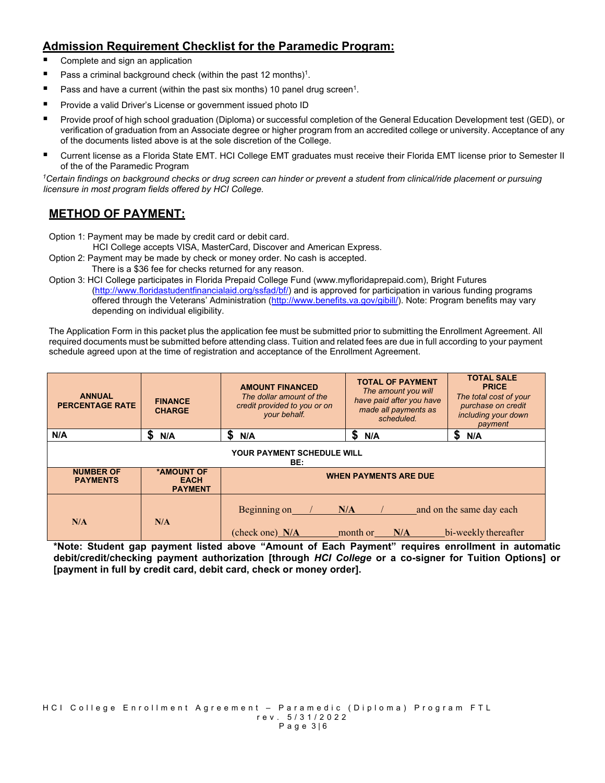## **Admission Requirement Checklist for the Paramedic Program:**

- Complete and sign an application
- **Pass a criminal background check (within the past 12 months)<sup>1</sup>.**
- **Pass and have a current (within the past six months) 10 panel drug screen<sup>1</sup>.**
- **Provide a valid Driver's License or government issued photo ID**
- Provide proof of high school graduation (Diploma) or successful completion of the General Education Development test (GED), or verification of graduation from an Associate degree or higher program from an accredited college or university. Acceptance of any of the documents listed above is at the sole discretion of the College.
- Current license as a Florida State EMT. HCI College EMT graduates must receive their Florida EMT license prior to Semester II of the of the Paramedic Program

*1Certain findings on background checks or drug screen can hinder or prevent a student from clinical/ride placement or pursuing licensure in most program fields offered by HCI College.* 

## **METHOD OF PAYMENT:**

Option 1: Payment may be made by credit card or debit card.

HCI College accepts VISA, MasterCard, Discover and American Express.

- Option 2: Payment may be made by check or money order. No cash is accepted.
- There is a \$36 fee for checks returned for any reason.

Option 3: HCI College participates in Florida Prepaid College Fund (www.myfloridaprepaid.com), Bright Futures [\(http://www.floridastudentfinancialaid.org/ssfad/bf/\)](http://www.floridastudentfinancialaid.org/ssfad/bf/) and is approved for participation in various funding programs offered through the Veterans' Administration [\(http://www.benefits.va.gov/gibill/\)](http://www.benefits.va.gov/gibill/). Note: Program benefits may vary depending on individual eligibility.

The Application Form in this packet plus the application fee must be submitted prior to submitting the Enrollment Agreement. All required documents must be submitted before attending class. Tuition and related fees are due in full according to your payment schedule agreed upon at the time of registration and acceptance of the Enrollment Agreement.

| <b>ANNUAL</b><br><b>PERCENTAGE RATE</b> | <b>FINANCE</b><br><b>CHARGE</b>             | <b>AMOUNT FINANCED</b><br>The dollar amount of the<br>credit provided to you or on<br>your behalf. | <b>TOTAL OF PAYMENT</b><br>The amount you will<br>have paid after you have<br>made all payments as<br>scheduled. | <b>TOTAL SALE</b><br><b>PRICE</b><br>The total cost of your<br>purchase on credit<br>including your down<br>payment |
|-----------------------------------------|---------------------------------------------|----------------------------------------------------------------------------------------------------|------------------------------------------------------------------------------------------------------------------|---------------------------------------------------------------------------------------------------------------------|
| N/A                                     | S<br>N/A                                    | \$<br>N/A                                                                                          | S<br>N/A                                                                                                         | S<br>N/A                                                                                                            |
| YOUR PAYMENT SCHEDULE WILL<br>BE:       |                                             |                                                                                                    |                                                                                                                  |                                                                                                                     |
| <b>NUMBER OF</b><br><b>PAYMENTS</b>     | *AMOUNT OF<br><b>EACH</b><br><b>PAYMENT</b> | <b>WHEN PAYMENTS ARE DUE</b>                                                                       |                                                                                                                  |                                                                                                                     |
| N/A                                     | N/A                                         | Beginning on<br>(check one) N/A                                                                    | N/A<br>month or<br>N/A                                                                                           | and on the same day each<br>bi-weekly thereafter                                                                    |

**\*Note: Student gap payment listed above "Amount of Each Payment" requires enrollment in automatic debit/credit/checking payment authorization [through** *HCI College* **or a co-signer for Tuition Options] or [payment in full by credit card, debit card, check or money order].**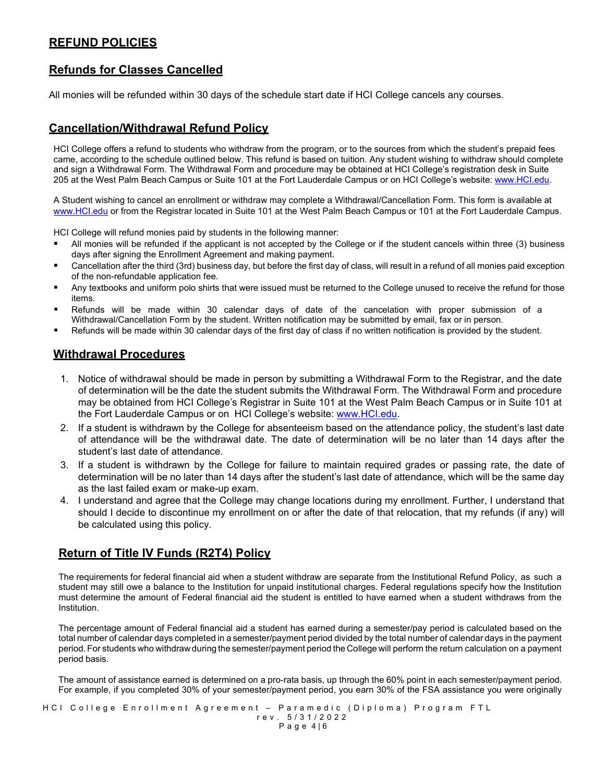#### **REFUND POLICIES**

#### **Refunds for Classes Cancelled**

All monies will be refunded within 30 days of the schedule start date if HCI College cancels any courses.

#### **Cancellation/Withdrawal Refund Policy**

HCI College offers a refund to students who withdraw from the program, or to the sources from which the student's prepaid fees came, according to the schedule outlined below. This refund is based on tuition. Any student wishing to withdraw should complete and sign a Withdrawal Form. The Withdrawal Form and procedure may be obtained at HCI College's registration desk in Suite 205 at the West Palm Beach Campus or Suite 101 at the Fort Lauderdale Campus or on HCI College's website: [www.HCI.edu.](http://www.hci.edu/)

A Student wishing to cancel an enrollment or withdraw may complete a Withdrawal/Cancellation Form. This form is available at [www.HCI.edu](http://www.hci.edu/) or from the Registrar located in Suite 101 at the West Palm Beach Campus or 101 at the Fort Lauderdale Campus.

HCI College will refund monies paid by students in the following manner:

- All monies will be refunded if the applicant is not accepted by the College or if the student cancels within three (3) business days after signing the Enrollment Agreement and making payment.
- Cancellation after the third (3rd) business day, but before the first day of class, will result in a refund of all monies paid exception of the non-refundable application fee.
- Any textbooks and uniform polo shirts that were issued must be returned to the College unused to receive the refund for those items.
- Refunds will be made within 30 calendar days of date of the cancelation with proper submission of a Withdrawal/Cancellation Form by the student. Written notification may be submitted by email, fax or in person.
- Refunds will be made within 30 calendar days of the first day of class if no written notification is provided by the student.

#### **Withdrawal Procedures**

- 1. Notice of withdrawal should be made in person by submitting a Withdrawal Form to the Registrar, and the date of determination will be the date the student submits the Withdrawal Form. The Withdrawal Form and procedure may be obtained from HCI College's Registrar in Suite 101 at the West Palm Beach Campus or in Suite 101 at the Fort Lauderdale Campus or on HCI College's website: [www.HCI.edu.](http://www.hci.edu/)
- 2. If a student is withdrawn by the College for absenteeism based on the attendance policy, the student's last date of attendance will be the withdrawal date. The date of determination will be no later than 14 days after the student's last date of attendance.
- 3. If a student is withdrawn by the College for failure to maintain required grades or passing rate, the date of determination will be no later than 14 days after the student's last date of attendance, which will be the same day as the last failed exam or make-up exam.
- 4. I understand and agree that the College may change locations during my enrollment. Further, I understand that should I decide to discontinue my enrollment on or after the date of that relocation, that my refunds (if any) will be calculated using this policy.

#### **Return of Title IV Funds (R2T4) Policy**

The requirements for federal financial aid when a student withdraw are separate from the Institutional Refund Policy, as such a student may still owe a balance to the Institution for unpaid institutional charges. Federal regulations specify how the Institution must determine the amount of Federal financial aid the student is entitled to have earned when a student withdraws from the Institution.

The percentage amount of Federal financial aid a student has earned during a semester/pay period is calculated based on the total number of calendar days completed in a semester/payment period divided by the total number of calendar days in the payment period. For students who withdraw during the semester/payment period the College will perform the return calculation on a payment period basis.

The amount of assistance earned is determined on a pro-rata basis, up through the 60% point in each semester/payment period. For example, if you completed 30% of your semester/payment period, you earn 30% of the FSA assistance you were originally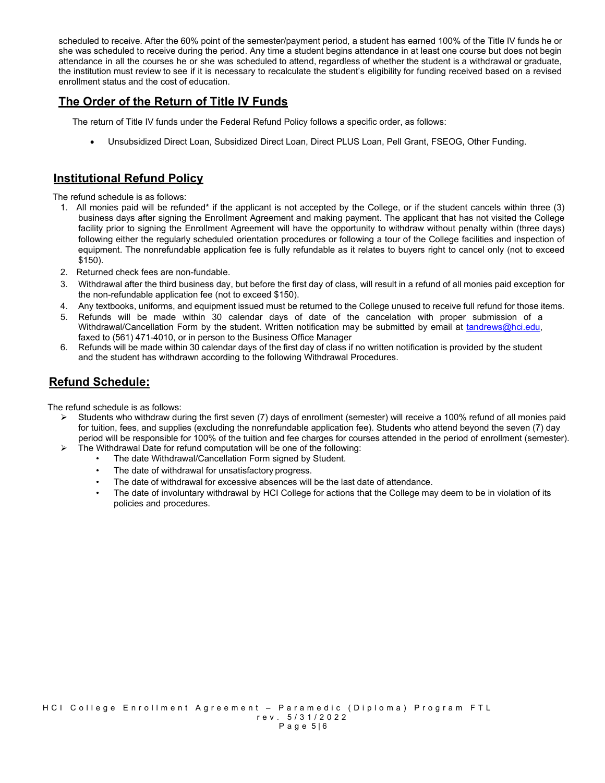scheduled to receive. After the 60% point of the semester/payment period, a student has earned 100% of the Title IV funds he or she was scheduled to receive during the period. Any time a student begins attendance in at least one course but does not begin attendance in all the courses he or she was scheduled to attend, regardless of whether the student is a withdrawal or graduate, the institution must review to see if it is necessary to recalculate the student's eligibility for funding received based on a revised enrollment status and the cost of education.

## **The Order of the Return of Title IV Funds**

The return of Title IV funds under the Federal Refund Policy follows a specific order, as follows:

• Unsubsidized Direct Loan, Subsidized Direct Loan, Direct PLUS Loan, Pell Grant, FSEOG, Other Funding.

#### **Institutional Refund Policy**

The refund schedule is as follows:

- 1. All monies paid will be refunded\* if the applicant is not accepted by the College, or if the student cancels within three (3) business days after signing the Enrollment Agreement and making payment. The applicant that has not visited the College facility prior to signing the Enrollment Agreement will have the opportunity to withdraw without penalty within (three days) following either the regularly scheduled orientation procedures or following a tour of the College facilities and inspection of equipment. The nonrefundable application fee is fully refundable as it relates to buyers right to cancel only (not to exceed \$150).
- 2. Returned check fees are non-fundable.
- 3. Withdrawal after the third business day, but before the first day of class, will result in a refund of all monies paid exception for the non-refundable application fee (not to exceed \$150).
- 4. Any textbooks, uniforms, and equipment issued must be returned to the College unused to receive full refund for those items.
- 5. Refunds will be made within 30 calendar days of date of the cancelation with proper submission of a Withdrawal/Cancellation Form by the student. Written notification may be submitted by email at [tandrews@hci.edu,](mailto:tandrews@hci.edu) faxed to (561) 471-4010, or in person to the Business Office Manager
- 6. Refunds will be made within 30 calendar days of the first day of class if no written notification is provided by the student and the student has withdrawn according to the following Withdrawal Procedures.

## **Refund Schedule:**

The refund schedule is as follows:

- $\triangleright$  Students who withdraw during the first seven (7) days of enrollment (semester) will receive a 100% refund of all monies paid for tuition, fees, and supplies (excluding the nonrefundable application fee). Students who attend beyond the seven (7) day period will be responsible for 100% of the tuition and fee charges for courses attended in the period of enrollment (semester).
- $\triangleright$  The Withdrawal Date for refund computation will be one of the following:
	- The date Withdrawal/Cancellation Form signed by Student.
	- The date of withdrawal for unsatisfactory progress.
	- The date of withdrawal for excessive absences will be the last date of attendance.
	- The date of involuntary withdrawal by HCI College for actions that the College may deem to be in violation of its policies and procedures.